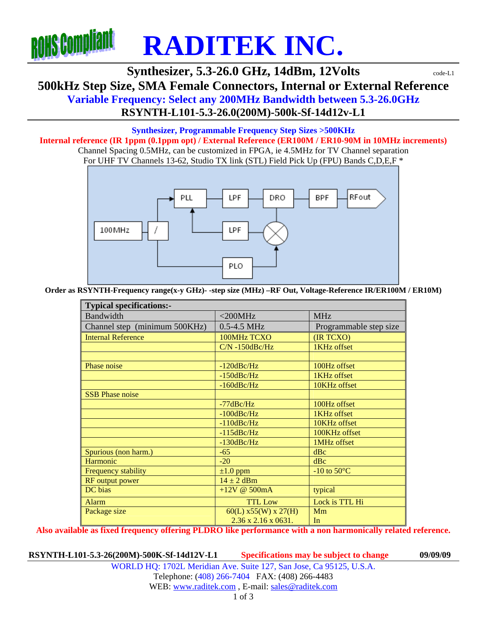

## **Synthesizer, 5.3-26.0 GHz, 14dBm, 12Volts**  $\text{code-L1}$ **500kHz Step Size, SMA Female Connectors, Internal or External Reference Variable Frequency: Select any 200MHz Bandwidth between 5.3-26.0GHz RSYNTH-L101-5.3-26.0(200M)-500k-Sf-14d12v-L1**

## **Synthesizer, Programmable Frequency Step Sizes >500KHz**

**Internal reference (IR 1ppm (0.1ppm opt) / External Reference (ER100M / ER10-90M in 10MHz increments)**  Channel Spacing 0.5MHz, can be customized in FPGA, ie 4.5MHz for TV Channel separation For UHF TV Channels 13-62, Studio TX link (STL) Field Pick Up (FPU) Bands C,D,E,F \*



**Order as RSYNTH-Frequency range(x-y GHz)- -step size (MHz) –RF Out, Voltage-Reference IR/ER100M / ER10M)** 

| <b>Typical specifications:-</b> |                                  |                        |  |  |  |
|---------------------------------|----------------------------------|------------------------|--|--|--|
| <b>Bandwidth</b>                | $<$ 200MHz                       | <b>MHz</b>             |  |  |  |
| Channel step (minimum 500KHz)   | 0.5-4.5 MHz                      | Programmable step size |  |  |  |
| <b>Internal Reference</b>       | 100MHz TCXO                      | (IR TCXO)              |  |  |  |
|                                 | $CN - 150dBc/Hz$                 | 1KHz offset            |  |  |  |
|                                 |                                  |                        |  |  |  |
| Phase noise                     | $-120$ dBc/Hz                    | 100Hz offset           |  |  |  |
|                                 | $-150$ dBc/Hz                    | 1KHz offset            |  |  |  |
|                                 | $-160$ dBc/Hz                    | 10KHz offset           |  |  |  |
| <b>SSB Phase noise</b>          |                                  |                        |  |  |  |
|                                 | $-77$ d $Bc/Hz$                  | 100Hz offset           |  |  |  |
|                                 | $-100$ dBc/Hz                    | 1KHz offset            |  |  |  |
|                                 | $-110$ dBc/Hz                    | 10KHz offset           |  |  |  |
|                                 | $-115$ dBc/Hz                    | 100KHz offset          |  |  |  |
|                                 | $-130$ dBc/Hz                    | 1MHz offset            |  |  |  |
| Spurious (non harm.)            | $-65$                            | dBc                    |  |  |  |
| Harmonic                        | $-20$                            | dBc                    |  |  |  |
| Frequency stability             | $\pm 1.0$ ppm                    | -10 to $50^{\circ}$ C  |  |  |  |
| RF output power                 | $14 \pm 2$ dBm                   |                        |  |  |  |
| DC bias                         | +12V @ $500mA$                   | typical                |  |  |  |
| Alarm                           | <b>TTL Low</b>                   | Lock is TTL Hi         |  |  |  |
| Package size                    | $60(L)$ x55(W) x 27(H)           | Mm                     |  |  |  |
|                                 | $2.36 \times 2.16 \times 0631$ . | In                     |  |  |  |

**Also available as fixed frequency offering PLDRO like performance with a non harmonically related reference.** 

**RSYNTH-L101-5.3-26(200M)-500K-Sf-14d12V-L1 Specifications may be subject to change 09/09/09**

WORLD HQ: 1702L Meridian Ave. Suite 127, San Jose, Ca 95125, U.S.A. Telephone: (408) 266-7404 FAX: (408) 266-4483 WEB: www.raditek.com, E-mail: sales@raditek.com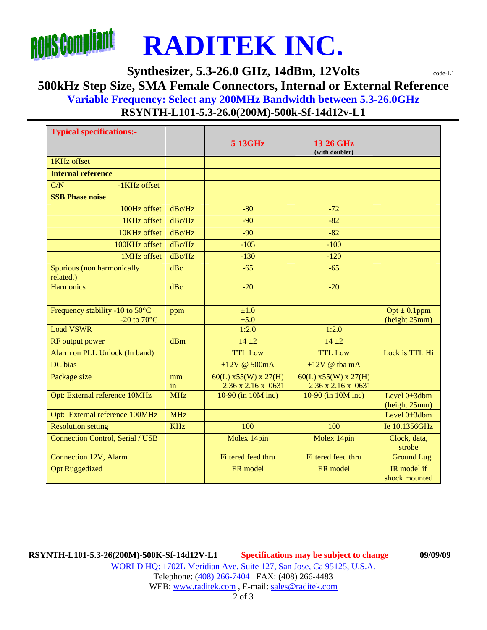

**Synthesizer, 5.3-26.0 GHz, 14dBm, 12Volts**  $\text{code-L1}$ 

**500kHz Step Size, SMA Female Connectors, Internal or External Reference** 

**Variable Frequency: Select any 200MHz Bandwidth between 5.3-26.0GHz**

**RSYNTH-L101-5.3-26.0(200M)-500k-Sf-14d12v-L1** 

| <b>Typical specifications:-</b>                          |            |                                              |                                              |                                    |
|----------------------------------------------------------|------------|----------------------------------------------|----------------------------------------------|------------------------------------|
|                                                          |            | 5-13GHz                                      | 13-26 GHz<br>(with doubler)                  |                                    |
| 1KHz offset                                              |            |                                              |                                              |                                    |
| <b>Internal reference</b>                                |            |                                              |                                              |                                    |
| C/N<br>-1KHz offset                                      |            |                                              |                                              |                                    |
| <b>SSB Phase noise</b>                                   |            |                                              |                                              |                                    |
| 100Hz offset                                             | dBc/Hz     | $-80$                                        | $-72$                                        |                                    |
| 1KHz offset                                              | dBc/Hz     | $-90$                                        | $-82$                                        |                                    |
| 10KHz offset                                             | $d$ Bc/Hz  | $-90$                                        | $-82$                                        |                                    |
| 100KHz offset                                            | dBc/Hz     | $-105$                                       | $-100$                                       |                                    |
| 1MHz offset                                              | dBc/Hz     | $-130$                                       | $-120$                                       |                                    |
| Spurious (non harmonically<br>related.)                  | dBc        | $-65$                                        | $-65$                                        |                                    |
| <b>Harmonics</b>                                         | dBc        | $-20$                                        | $-20$                                        |                                    |
|                                                          |            |                                              |                                              |                                    |
| Frequency stability -10 to 50°C<br>-20 to $70^{\circ}$ C | ppm        | ±1.0<br>±5.0                                 |                                              | $Opt \pm 0.1$ ppm<br>(height 25mm) |
| <b>Load VSWR</b>                                         |            | 1:2.0                                        | 1:2.0                                        |                                    |
| RF output power                                          | dBm        | $14 + 2$                                     | $14 + 2$                                     |                                    |
| Alarm on PLL Unlock (In band)                            |            | <b>TTL Low</b>                               | <b>TTL Low</b>                               | Lock is TTL Hi                     |
| DC bias                                                  |            | +12V @ $500mA$                               | $+12V$ @ tba mA                              |                                    |
| Package size                                             | mm<br>in   | $60(L)$ x55(W) x 27(H)<br>2.36 x 2.16 x 0631 | $60(L)$ x55(W) x 27(H)<br>2.36 x 2.16 x 0631 |                                    |
| Opt: External reference 10MHz                            | <b>MHz</b> | 10-90 (in 10M inc)                           | 10-90 (in 10M inc)                           | Level 0±3dbm<br>(height 25mm)      |
| Opt: External reference 100MHz                           | <b>MHz</b> |                                              |                                              | Level 0±3dbm                       |
| <b>Resolution setting</b>                                | <b>KHz</b> | 100                                          | 100                                          | Ie 10.1356GHz                      |
| <b>Connection Control, Serial / USB</b>                  |            | Molex 14pin                                  | Molex 14pin                                  | Clock, data,<br>strobe             |
| <b>Connection 12V, Alarm</b>                             |            | Filtered feed thru                           | <b>Filtered feed thru</b>                    | + Ground Lug                       |
| <b>Opt Ruggedized</b>                                    |            | ER model                                     | ER model                                     | IR model if<br>shock mounted       |

**RSYNTH-L101-5.3-26(200M)-500K-Sf-14d12V-L1 Specifications may be subject to change 09/09/09**

WORLD HQ: 1702L Meridian Ave. Suite 127, San Jose, Ca 95125, U.S.A. Telephone: (408) 266-7404 FAX: (408) 266-4483 WEB: www.raditek.com, E-mail: sales@raditek.com